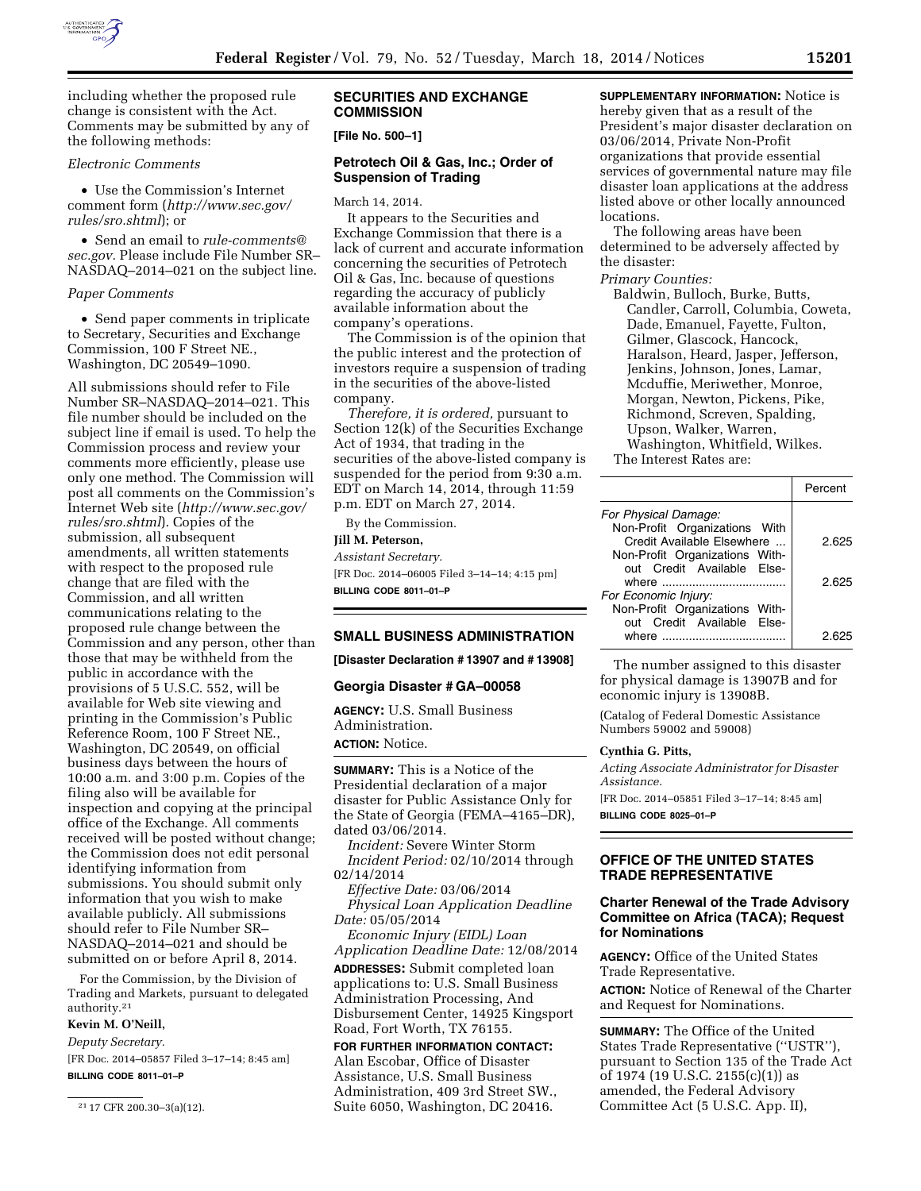

including whether the proposed rule change is consistent with the Act. Comments may be submitted by any of the following methods:

### *Electronic Comments*

• Use the Commission's Internet comment form (*[http://www.sec.gov/](http://www.sec.gov/rules/sro.shtml) [rules/sro.shtml](http://www.sec.gov/rules/sro.shtml)*); or

• Send an email to *[rule-comments@](mailto:rule-comments@sec.gov) [sec.gov.](mailto:rule-comments@sec.gov)* Please include File Number SR– NASDAQ–2014–021 on the subject line.

#### *Paper Comments*

• Send paper comments in triplicate to Secretary, Securities and Exchange Commission, 100 F Street NE., Washington, DC 20549–1090.

All submissions should refer to File Number SR–NASDAQ–2014–021. This file number should be included on the subject line if email is used. To help the Commission process and review your comments more efficiently, please use only one method. The Commission will post all comments on the Commission's Internet Web site (*[http://www.sec.gov/](http://www.sec.gov/rules/sro.shtml) [rules/sro.shtml](http://www.sec.gov/rules/sro.shtml)*). Copies of the submission, all subsequent amendments, all written statements with respect to the proposed rule change that are filed with the Commission, and all written communications relating to the proposed rule change between the Commission and any person, other than those that may be withheld from the public in accordance with the provisions of 5 U.S.C. 552, will be available for Web site viewing and printing in the Commission's Public Reference Room, 100 F Street NE., Washington, DC 20549, on official business days between the hours of 10:00 a.m. and 3:00 p.m. Copies of the filing also will be available for inspection and copying at the principal office of the Exchange. All comments received will be posted without change; the Commission does not edit personal identifying information from submissions. You should submit only information that you wish to make available publicly. All submissions should refer to File Number SR– NASDAQ–2014–021 and should be submitted on or before April 8, 2014.

For the Commission, by the Division of Trading and Markets, pursuant to delegated authority.21

### **Kevin M. O'Neill,**

*Deputy Secretary.* 

[FR Doc. 2014–05857 Filed 3–17–14; 8:45 am]

**BILLING CODE 8011–01–P** 

### **SECURITIES AND EXCHANGE COMMISSION**

**[File No. 500–1]** 

### **Petrotech Oil & Gas, Inc.; Order of Suspension of Trading**

#### March 14, 2014.

It appears to the Securities and Exchange Commission that there is a lack of current and accurate information concerning the securities of Petrotech Oil & Gas, Inc. because of questions regarding the accuracy of publicly available information about the company's operations.

The Commission is of the opinion that the public interest and the protection of investors require a suspension of trading in the securities of the above-listed company.

*Therefore, it is ordered,* pursuant to Section 12(k) of the Securities Exchange Act of 1934, that trading in the securities of the above-listed company is suspended for the period from 9:30 a.m. EDT on March 14, 2014, through 11:59 p.m. EDT on March 27, 2014.

By the Commission.

**Jill M. Peterson,** 

*Assistant Secretary.* 

[FR Doc. 2014–06005 Filed 3–14–14; 4:15 pm] **BILLING CODE 8011–01–P** 

## **SMALL BUSINESS ADMINISTRATION**

**[Disaster Declaration # 13907 and # 13908]** 

#### **Georgia Disaster # GA–00058**

**AGENCY:** U.S. Small Business Administration. **ACTION:** Notice.

**SUMMARY:** This is a Notice of the Presidential declaration of a major disaster for Public Assistance Only for the State of Georgia (FEMA–4165–DR), dated 03/06/2014.

*Incident:* Severe Winter Storm *Incident Period:* 02/10/2014 through 02/14/2014

*Effective Date:* 03/06/2014 *Physical Loan Application Deadline Date:* 05/05/2014

*Economic Injury (EIDL) Loan Application Deadline Date:* 12/08/2014

**ADDRESSES:** Submit completed loan applications to: U.S. Small Business Administration Processing, And Disbursement Center, 14925 Kingsport Road, Fort Worth, TX 76155.

**FOR FURTHER INFORMATION CONTACT:**  Alan Escobar, Office of Disaster Assistance, U.S. Small Business Administration, 409 3rd Street SW., Suite 6050, Washington, DC 20416.

### **SUPPLEMENTARY INFORMATION:** Notice is hereby given that as a result of the President's major disaster declaration on 03/06/2014, Private Non-Profit organizations that provide essential services of governmental nature may file disaster loan applications at the address listed above or other locally announced locations.

The following areas have been determined to be adversely affected by the disaster:

*Primary Counties:* 

Baldwin, Bulloch, Burke, Butts, Candler, Carroll, Columbia, Coweta, Dade, Emanuel, Fayette, Fulton, Gilmer, Glascock, Hancock, Haralson, Heard, Jasper, Jefferson, Jenkins, Johnson, Jones, Lamar, Mcduffie, Meriwether, Monroe, Morgan, Newton, Pickens, Pike, Richmond, Screven, Spalding, Upson, Walker, Warren, Washington, Whitfield, Wilkes. The Interest Rates are:

|                                | Percent |
|--------------------------------|---------|
| For Physical Damage:           |         |
| Non-Profit Organizations With  |         |
| Credit Available Elsewhere     | 2.625   |
| Non-Profit Organizations With- |         |
| out Credit Available Else-     |         |
| where                          | 2.625   |
| For Economic Injury:           |         |
| Non-Profit Organizations With- |         |
| out Credit Available Else-     |         |
| where                          | 2.62    |
|                                |         |

The number assigned to this disaster for physical damage is 13907B and for economic injury is 13908B.

(Catalog of Federal Domestic Assistance Numbers 59002 and 59008)

## **Cynthia G. Pitts,**

*Acting Associate Administrator for Disaster Assistance.* 

[FR Doc. 2014–05851 Filed 3–17–14; 8:45 am] **BILLING CODE 8025–01–P** 

### **OFFICE OF THE UNITED STATES TRADE REPRESENTATIVE**

## **Charter Renewal of the Trade Advisory Committee on Africa (TACA); Request for Nominations**

**AGENCY:** Office of the United States Trade Representative.

**ACTION:** Notice of Renewal of the Charter and Request for Nominations.

**SUMMARY:** The Office of the United States Trade Representative (''USTR''), pursuant to Section 135 of the Trade Act of 1974 (19 U.S.C. 2155(c)(1)) as amended, the Federal Advisory Committee Act (5 U.S.C. App. II),

<sup>21</sup> 17 CFR 200.30–3(a)(12).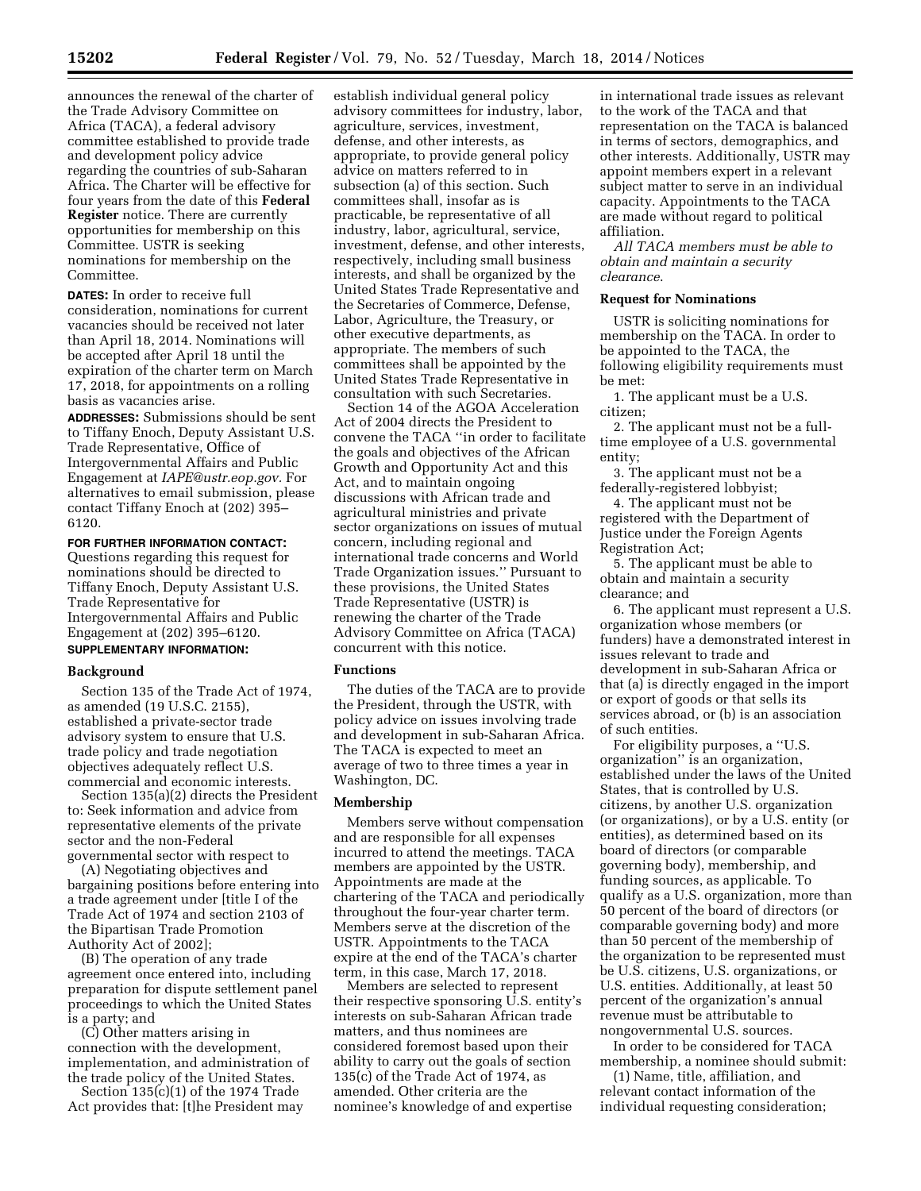announces the renewal of the charter of the Trade Advisory Committee on Africa (TACA), a federal advisory committee established to provide trade and development policy advice regarding the countries of sub-Saharan Africa. The Charter will be effective for four years from the date of this **Federal Register** notice. There are currently opportunities for membership on this Committee. USTR is seeking nominations for membership on the Committee.

**DATES:** In order to receive full consideration, nominations for current vacancies should be received not later than April 18, 2014. Nominations will be accepted after April 18 until the expiration of the charter term on March 17, 2018, for appointments on a rolling basis as vacancies arise.

**ADDRESSES:** Submissions should be sent to Tiffany Enoch, Deputy Assistant U.S. Trade Representative, Office of Intergovernmental Affairs and Public Engagement at *[IAPE@ustr.eop.gov.](mailto:IAPE@ustr.eop.gov)* For alternatives to email submission, please contact Tiffany Enoch at (202) 395– 6120.

#### **FOR FURTHER INFORMATION CONTACT:**

Questions regarding this request for nominations should be directed to Tiffany Enoch, Deputy Assistant U.S. Trade Representative for Intergovernmental Affairs and Public Engagement at (202) 395–6120. **SUPPLEMENTARY INFORMATION:** 

### **Background**

Section 135 of the Trade Act of 1974, as amended (19 U.S.C. 2155), established a private-sector trade advisory system to ensure that U.S. trade policy and trade negotiation objectives adequately reflect U.S. commercial and economic interests.

Section 135(a)(2) directs the President to: Seek information and advice from representative elements of the private sector and the non-Federal governmental sector with respect to

(A) Negotiating objectives and bargaining positions before entering into a trade agreement under [title I of the Trade Act of 1974 and section 2103 of the Bipartisan Trade Promotion Authority Act of 2002];

(B) The operation of any trade agreement once entered into, including preparation for dispute settlement panel proceedings to which the United States is a party; and

(C) Other matters arising in connection with the development, implementation, and administration of the trade policy of the United States.

Section  $135(c)(1)$  of the 1974 Trade Act provides that: [t]he President may

establish individual general policy advisory committees for industry, labor, agriculture, services, investment, defense, and other interests, as appropriate, to provide general policy advice on matters referred to in subsection (a) of this section. Such committees shall, insofar as is practicable, be representative of all industry, labor, agricultural, service, investment, defense, and other interests, respectively, including small business interests, and shall be organized by the United States Trade Representative and the Secretaries of Commerce, Defense, Labor, Agriculture, the Treasury, or other executive departments, as appropriate. The members of such committees shall be appointed by the United States Trade Representative in consultation with such Secretaries.

Section 14 of the AGOA Acceleration Act of 2004 directs the President to convene the TACA ''in order to facilitate the goals and objectives of the African Growth and Opportunity Act and this Act, and to maintain ongoing discussions with African trade and agricultural ministries and private sector organizations on issues of mutual concern, including regional and international trade concerns and World Trade Organization issues.'' Pursuant to these provisions, the United States Trade Representative (USTR) is renewing the charter of the Trade Advisory Committee on Africa (TACA) concurrent with this notice.

### **Functions**

The duties of the TACA are to provide the President, through the USTR, with policy advice on issues involving trade and development in sub-Saharan Africa. The TACA is expected to meet an average of two to three times a year in Washington, DC.

## **Membership**

Members serve without compensation and are responsible for all expenses incurred to attend the meetings. TACA members are appointed by the USTR. Appointments are made at the chartering of the TACA and periodically throughout the four-year charter term. Members serve at the discretion of the USTR. Appointments to the TACA expire at the end of the TACA's charter term, in this case, March 17, 2018.

Members are selected to represent their respective sponsoring U.S. entity's interests on sub-Saharan African trade matters, and thus nominees are considered foremost based upon their ability to carry out the goals of section 135(c) of the Trade Act of 1974, as amended. Other criteria are the nominee's knowledge of and expertise

in international trade issues as relevant to the work of the TACA and that representation on the TACA is balanced in terms of sectors, demographics, and other interests. Additionally, USTR may appoint members expert in a relevant subject matter to serve in an individual capacity. Appointments to the TACA are made without regard to political affiliation.

*All TACA members must be able to obtain and maintain a security clearance*.

### **Request for Nominations**

USTR is soliciting nominations for membership on the TACA. In order to be appointed to the TACA, the following eligibility requirements must be met:

1. The applicant must be a U.S. citizen;

2. The applicant must not be a fulltime employee of a U.S. governmental entity;

3. The applicant must not be a federally-registered lobbyist;

4. The applicant must not be registered with the Department of Justice under the Foreign Agents Registration Act;

5. The applicant must be able to obtain and maintain a security clearance; and

6. The applicant must represent a U.S. organization whose members (or funders) have a demonstrated interest in issues relevant to trade and development in sub-Saharan Africa or that (a) is directly engaged in the import or export of goods or that sells its services abroad, or (b) is an association of such entities.

For eligibility purposes, a ''U.S. organization'' is an organization, established under the laws of the United States, that is controlled by U.S. citizens, by another U.S. organization (or organizations), or by a U.S. entity (or entities), as determined based on its board of directors (or comparable governing body), membership, and funding sources, as applicable. To qualify as a U.S. organization, more than 50 percent of the board of directors (or comparable governing body) and more than 50 percent of the membership of the organization to be represented must be U.S. citizens, U.S. organizations, or U.S. entities. Additionally, at least 50 percent of the organization's annual revenue must be attributable to nongovernmental U.S. sources.

In order to be considered for TACA membership, a nominee should submit:

(1) Name, title, affiliation, and relevant contact information of the individual requesting consideration;